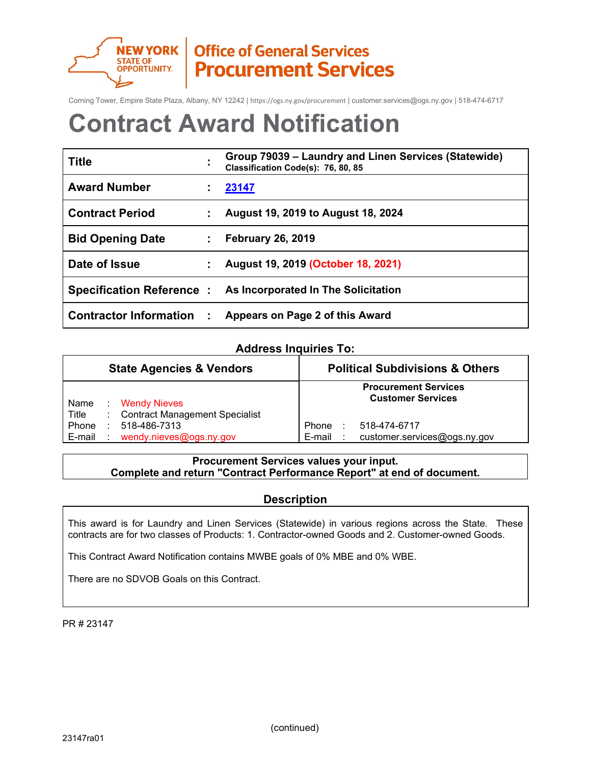

NEW YORK | Office of General Services **Procurement Services** 

Corning Tower, Empire State Plaza, Albany, NY 12242 | https://ogs.ny.gov/procurement | customer.services@ogs.ny.gov | 518-474-6717

# **Contract Award Notification**

| <b>Title</b>                  |    | Group 79039 – Laundry and Linen Services (Statewide)<br>Classification Code(s): 76, 80, 85 |
|-------------------------------|----|--------------------------------------------------------------------------------------------|
| <b>Award Number</b>           |    | 23147                                                                                      |
| <b>Contract Period</b>        |    | August 19, 2019 to August 18, 2024                                                         |
| <b>Bid Opening Date</b>       |    | <b>February 26, 2019</b>                                                                   |
| Date of Issue                 |    | August 19, 2019 (October 18, 2021)                                                         |
|                               |    | Specification Reference: As Incorporated In The Solicitation                               |
| <b>Contractor Information</b> | ÷. | Appears on Page 2 of this Award                                                            |

## **Address Inquiries To:**

|                 | <b>State Agencies &amp; Vendors</b> |                                                    | <b>Political Subdivisions &amp; Others</b> |  |                                                         |
|-----------------|-------------------------------------|----------------------------------------------------|--------------------------------------------|--|---------------------------------------------------------|
| Name<br>Title   |                                     | : Wendy Nieves<br>: Contract Management Specialist |                                            |  | <b>Procurement Services</b><br><b>Customer Services</b> |
| Phone<br>E-mail |                                     | $: 518 - 486 - 7313$<br>wendy.nieves@ogs.ny.gov    | Phone<br>E-mail                            |  | 518-474-6717<br>customer.services@ogs.ny.gov            |

## **Procurement Services values your input. Complete and return "Contract Performance Report" at end of document.**

## **Description**

This award is for Laundry and Linen Services (Statewide) in various regions across the State. These contracts are for two classes of Products: 1. Contractor-owned Goods and 2. Customer-owned Goods.

This Contract Award Notification contains MWBE goals of 0% MBE and 0% WBE.

There are no SDVOB Goals on this Contract.

PR # 23147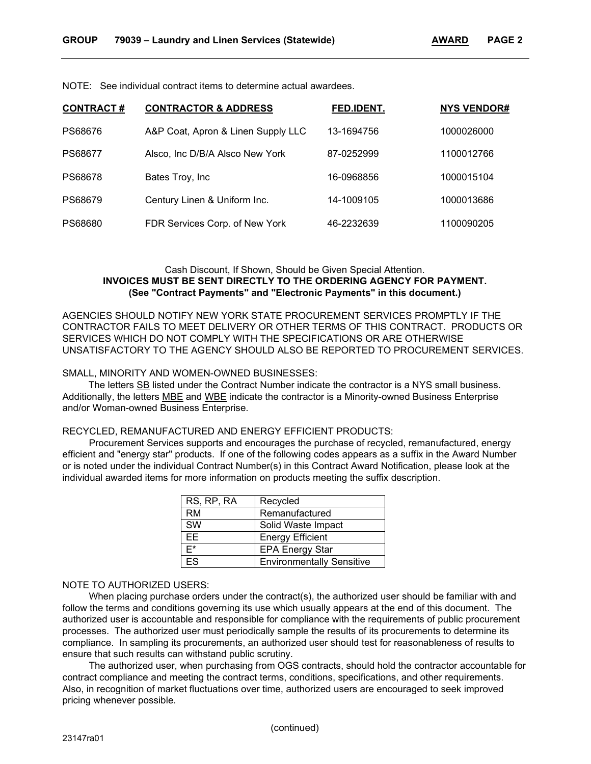NOTE: See individual contract items to determine actual awardees.

| <b>CONTRACT#</b> | <b>CONTRACTOR &amp; ADDRESS</b>    | FED.IDENT. | <b>NYS VENDOR#</b> |
|------------------|------------------------------------|------------|--------------------|
| PS68676          | A&P Coat, Apron & Linen Supply LLC | 13-1694756 | 1000026000         |
| PS68677          | Alsco, Inc D/B/A Alsco New York    | 87-0252999 | 1100012766         |
| PS68678          | Bates Troy, Inc.                   | 16-0968856 | 1000015104         |
| PS68679          | Century Linen & Uniform Inc.       | 14-1009105 | 1000013686         |
| PS68680          | FDR Services Corp. of New York     | 46-2232639 | 1100090205         |

### Cash Discount, If Shown, Should be Given Special Attention. **INVOICES MUST BE SENT DIRECTLY TO THE ORDERING AGENCY FOR PAYMENT. (See "Contract Payments" and "Electronic Payments" in this document.)**

AGENCIES SHOULD NOTIFY NEW YORK STATE PROCUREMENT SERVICES PROMPTLY IF THE CONTRACTOR FAILS TO MEET DELIVERY OR OTHER TERMS OF THIS CONTRACT. PRODUCTS OR SERVICES WHICH DO NOT COMPLY WITH THE SPECIFICATIONS OR ARE OTHERWISE UNSATISFACTORY TO THE AGENCY SHOULD ALSO BE REPORTED TO PROCUREMENT SERVICES.

#### SMALL, MINORITY AND WOMEN-OWNED BUSINESSES:

The letters SB listed under the Contract Number indicate the contractor is a NYS small business. Additionally, the letters MBE and WBE indicate the contractor is a Minority-owned Business Enterprise and/or Woman-owned Business Enterprise.

#### RECYCLED, REMANUFACTURED AND ENERGY EFFICIENT PRODUCTS:

Procurement Services supports and encourages the purchase of recycled, remanufactured, energy efficient and "energy star" products. If one of the following codes appears as a suffix in the Award Number or is noted under the individual Contract Number(s) in this Contract Award Notification, please look at the individual awarded items for more information on products meeting the suffix description.

| RS, RP, RA                         | Recycled                         |
|------------------------------------|----------------------------------|
| RM                                 | Remanufactured                   |
| SW                                 | Solid Waste Impact               |
| ЕE                                 | <b>Energy Efficient</b>          |
| F*                                 | <b>EPA Energy Star</b>           |
| $\overline{\overline{\mathsf{S}}}$ | <b>Environmentally Sensitive</b> |

#### NOTE TO AUTHORIZED USERS:

When placing purchase orders under the contract(s), the authorized user should be familiar with and follow the terms and conditions governing its use which usually appears at the end of this document. The authorized user is accountable and responsible for compliance with the requirements of public procurement processes. The authorized user must periodically sample the results of its procurements to determine its compliance. In sampling its procurements, an authorized user should test for reasonableness of results to ensure that such results can withstand public scrutiny.

The authorized user, when purchasing from OGS contracts, should hold the contractor accountable for contract compliance and meeting the contract terms, conditions, specifications, and other requirements. Also, in recognition of market fluctuations over time, authorized users are encouraged to seek improved pricing whenever possible.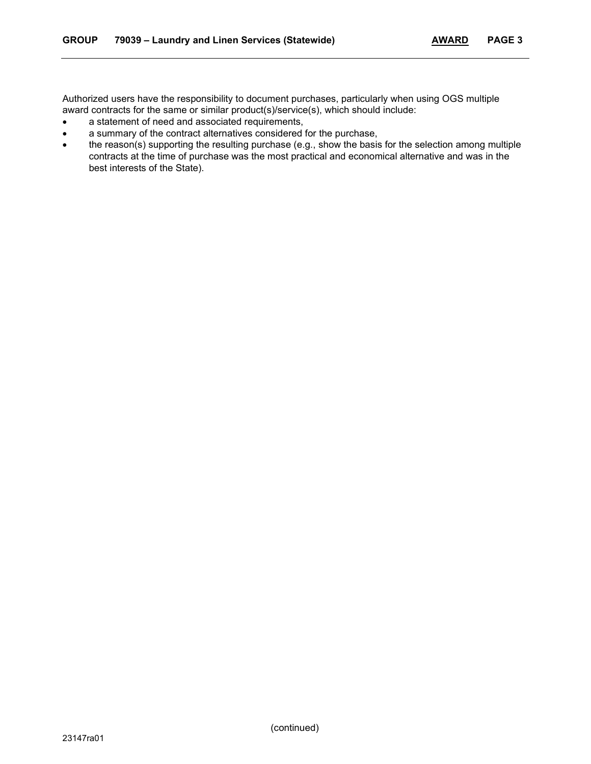Authorized users have the responsibility to document purchases, particularly when using OGS multiple award contracts for the same or similar product(s)/service(s), which should include:

- a statement of need and associated requirements,
- a summary of the contract alternatives considered for the purchase,
- the reason(s) supporting the resulting purchase (e.g., show the basis for the selection among multiple contracts at the time of purchase was the most practical and economical alternative and was in the best interests of the State).